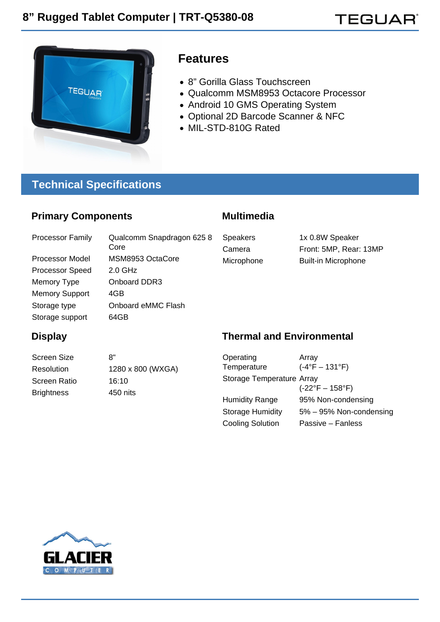



## **Features**

- 8" Gorilla Glass Touchscreen
- Qualcomm MSM8953 Octacore Processor
- Android 10 GMS Operating System
- Optional 2D Barcode Scanner & NFC
- MIL-STD-810G Rated

## **Technical Specifications**

#### **Primary Components**

Processor Family Qualcomm Snapdragon 625 8 Core Processor Model MSM8953 OctaCore Processor Speed 2.0 GHz Memory Type **Onboard DDR3** Memory Support 4GB Storage type **Onboard eMMC Flash** Storage support 64GB

#### **Multimedia**

Speakers 1x 0.8W Speaker Camera Front: 5MP, Rear: 13MP Microphone Built-in Microphone

### **Display**

Screen Size 8" Resolution 1280 x 800 (WXGA) Screen Ratio 16:10 Brightness 450 nits

#### **Thermal and Environmental**

| Operating                 | Array                           |
|---------------------------|---------------------------------|
| Temperature               | $(-4°F - 131°F)$                |
| Storage Temperature Array |                                 |
|                           | $(-22^{\circ}F - 158^{\circ}F)$ |
| <b>Humidity Range</b>     | 95% Non-condensing              |
| <b>Storage Humidity</b>   | 5% - 95% Non-condensing         |
| <b>Cooling Solution</b>   | Passive - Fanless               |

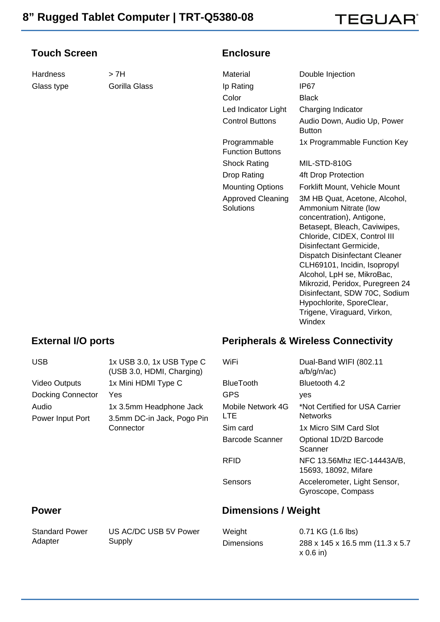## TEGUAR`

#### **Touch Screen**

Hardness > 7H Glass type **Gorilla Glass** 

#### **Enclosure**

Material Double Injection Ip Rating IP67 Color Black Led Indicator Light Charging Indicator Control Buttons Audio Down, Audio Up, Power **Button** Programmable Function Buttons 1x Programmable Function Key Shock Rating MIL-STD-810G Drop Rating 4ft Drop Protection Mounting Options Forklift Mount, Vehicle Mount Approved Cleaning Solutions 3M HB Quat, Acetone, Alcohol, Ammonium Nitrate (low concentration), Antigone, Betasept, Bleach, Caviwipes, Chloride, CIDEX, Control III Disinfectant Germicide, Dispatch Disinfectant Cleaner CLH69101, Incidin, Isopropyl Alcohol, LpH se, MikroBac, Mikrozid, Peridox, Puregreen 24 Disinfectant, SDW 70C, Sodium Hypochlorite, SporeClear, Trigene, Viraguard, Virkon, **Windex** 

#### **External I/O ports**

#### **Peripherals & Wireless Connectivity**

| <b>USB</b>                                                                                      | 1x USB 3.0, 1x USB Type C<br>(USB 3.0, HDMI, Charging) | WiFi                                              | Dual-Band WIFI (802.11<br>a/b/g/n/ac               |
|-------------------------------------------------------------------------------------------------|--------------------------------------------------------|---------------------------------------------------|----------------------------------------------------|
| <b>Video Outputs</b>                                                                            | 1x Mini HDMI Type C                                    | <b>BlueTooth</b>                                  | Bluetooth 4.2                                      |
| <b>Docking Connector</b>                                                                        | Yes                                                    | <b>GPS</b>                                        | <b>ves</b>                                         |
| Audio<br>1x 3.5mm Headphone Jack<br>3.5mm DC-in Jack, Pogo Pin<br>Power Input Port<br>Connector | Mobile Network 4G<br>LTE.                              | *Not Certified for USA Carrier<br><b>Networks</b> |                                                    |
|                                                                                                 | Sim card                                               | 1x Micro SIM Card Slot                            |                                                    |
|                                                                                                 |                                                        | <b>Barcode Scanner</b>                            | Optional 1D/2D Barcode<br>Scanner                  |
|                                                                                                 |                                                        | <b>RFID</b>                                       | NFC 13.56Mhz IEC-14443A/B,<br>15693, 18092, Mifare |
|                                                                                                 |                                                        | Sensors                                           | Accelerometer, Light Sensor,<br>Gyroscope, Compass |

#### **Power**

Standard Power Adapter

US AC/DC USB 5V Power Supply

#### **Dimensions / Weight**

| Weight            | $0.71$ KG $(1.6$ lbs)            |
|-------------------|----------------------------------|
| <b>Dimensions</b> | 288 x 145 x 16.5 mm (11.3 x 5.7) |
|                   | $x 0.6$ in)                      |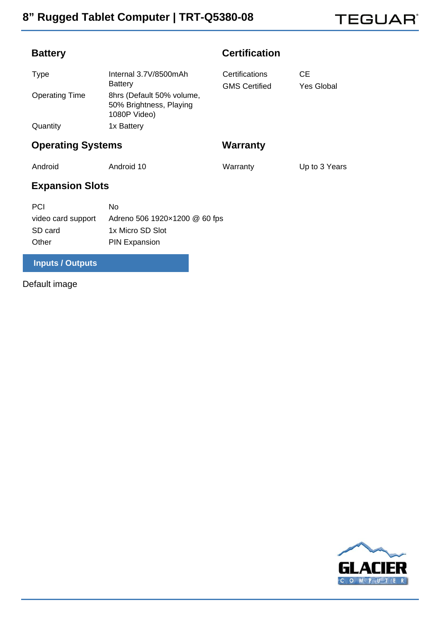**TEGUAR®** 

### **Battery**

|  | <b>Certification</b> |  |
|--|----------------------|--|
|  |                      |  |

| Type                  | Internal 3.7V/8500mAh                                                | Certifications       | CЕ                |
|-----------------------|----------------------------------------------------------------------|----------------------|-------------------|
|                       | <b>Battery</b>                                                       | <b>GMS Certified</b> | <b>Yes Global</b> |
| <b>Operating Time</b> | 8hrs (Default 50% volume,<br>50% Brightness, Playing<br>1080P Video) |                      |                   |
| Quantity              | 1x Battery                                                           |                      |                   |

## **Operating Systems**

**Warranty**

Warranty **Up to 3 Years** 

Android Android 10

## **Expansion Slots**

| <b>PCI</b>         | Nο                            |
|--------------------|-------------------------------|
| video card support | Adreno 506 1920×1200 @ 60 fps |
| SD card            | 1x Micro SD Slot              |
| Other              | <b>PIN Expansion</b>          |

### **Inputs / Outputs**

Default image